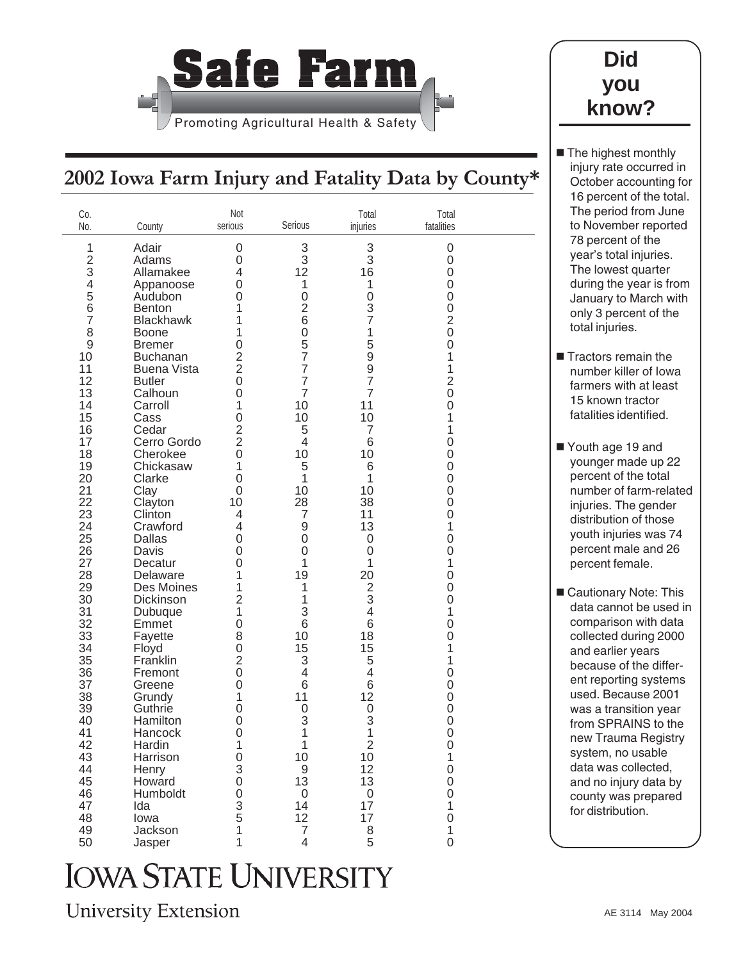

## **Did you know?**

The highest monthly injury rate occurred in October accounting for 16 percent of the total. The period from June to November reported 78 percent of the year's total injuries. The lowest quarter during the year is from January to March with only 3 percent of the

total injuries.

**Tractors remain the** number killer of Iowa farmers with at least 15 known tractor fatalities identified.

Youth age 19 and younger made up 22 percent of the total number of farm-related injuries. The gender distribution of those youth injuries was 74 percent male and 26 percent female.

■ Cautionary Note: This data cannot be used in comparison with data collected during 2000 and earlier years because of the different reporting systems used. Because 2001 was a transition year from SPRAINS to the new Trauma Registry system, no usable data was collected, and no injury data by county was prepared for distribution.

## **2002 Iowa Farm Injury and Fatality Data by County\***

| Co.<br>No.               | County                                | Not<br>serious   | Serious                  | Total<br>injuries                     | Total<br>fatalities |  |
|--------------------------|---------------------------------------|------------------|--------------------------|---------------------------------------|---------------------|--|
| 1                        | Adair                                 | $\boldsymbol{0}$ | 3                        | 3                                     | 0                   |  |
| $\overline{2}$           | Adams                                 | 0                | 3                        | 3                                     | 0                   |  |
| 3                        | Allamakee                             | 4                | 12                       | 16                                    | 0                   |  |
| $\overline{\mathcal{A}}$ | Appanoose                             | 0                | $\mathbf 1$              | 1                                     | 0                   |  |
| 5                        | Audubon                               | $\Omega$         | $\mathbf 0$              | $\overline{0}$                        | 0                   |  |
| 6                        | <b>Benton</b>                         | 1                | $\overline{2}$           | 3                                     | 0                   |  |
| $\overline{7}$           | <b>Blackhawk</b>                      | 1                | 6                        | $\overline{7}$                        | 2                   |  |
| 8                        | <b>Boone</b>                          | 1                | $\mathbf 0$              | 1                                     | 0                   |  |
| 9<br>10                  | <b>Bremer</b>                         | $\mathbf 0$<br>2 | 5<br>$\overline{7}$      | 5<br>9                                | 0                   |  |
| 11                       | <b>Buchanan</b><br><b>Buena Vista</b> | $\overline{2}$   | $\overline{7}$           | 9                                     | 1<br>1              |  |
| 12                       | <b>Butler</b>                         | 0                | $\overline{7}$           | $\overline{7}$                        | $\overline{2}$      |  |
| 13                       | Calhoun                               | 0                | $\overline{7}$           | $\overline{7}$                        | $\overline{0}$      |  |
| 14                       | Carroll                               | 1                | 10                       | 11                                    | 0                   |  |
| 15                       | Cass                                  | 0                | 10                       | 10                                    | 1                   |  |
| 16                       | Cedar                                 | $\overline{2}$   | 5                        | $\overline{7}$                        | 1                   |  |
| 17                       | Cerro Gordo                           | $\overline{2}$   | 4                        | 6                                     | 0                   |  |
| 18                       | Cherokee                              | $\mathbf 0$      | 10                       | 10                                    | 0                   |  |
| 19                       | Chickasaw                             | 1                | 5                        | 6                                     | 0                   |  |
| 20                       | Clarke                                | $\Omega$         | 1                        | 1                                     | 0                   |  |
| 21                       | Clay                                  | 0                | 10                       | 10                                    | 0                   |  |
| 22                       | Clayton                               | 10               | 28                       | 38                                    | 0                   |  |
| 23                       | Clinton                               | 4                | $\overline{7}$           | 11                                    | 0                   |  |
| 24                       | Crawford                              | 4                | 9                        | 13                                    | 1                   |  |
| 25<br>26                 | Dallas                                | 0<br>$\Omega$    | 0<br>$\mathbf 0$         | $\mathbf 0$<br>$\overline{0}$         | 0                   |  |
| 27                       | Davis<br>Decatur                      | 0                | 1                        | 1                                     | 0<br>1              |  |
| 28                       | Delaware                              | 1                | 19                       | 20                                    | 0                   |  |
| 29                       | Des Moines                            | 1                | 1                        | $\overline{2}$                        | 0                   |  |
| 30                       | Dickinson                             | $\overline{2}$   | 1                        | 3                                     | 0                   |  |
| 31                       | Dubuque                               | 1                | 3                        | 4                                     | 1                   |  |
| 32                       | Emmet                                 | $\Omega$         | 6                        | 6                                     | 0                   |  |
| 33                       | Fayette                               | 8                | 10                       | 18                                    | 0                   |  |
| 34                       | Floyd                                 | 0                | 15                       | 15                                    | 1                   |  |
| 35                       | Franklin                              | $\overline{2}$   | 3                        | 5                                     | 1                   |  |
| 36                       | Fremont                               | 0                | $\overline{\mathcal{L}}$ | 4                                     | 0                   |  |
| 37                       | Greene                                | 0                | 6                        | 6                                     | 0                   |  |
| 38                       | Grundy                                | 1                | 11                       | 12                                    | 0                   |  |
| 39                       | Guthrie<br>Hamilton                   | 0                | $\mathbf 0$              | 0<br>3                                | 0                   |  |
| 40<br>41                 | Hancock                               | 0<br>0           | 3<br>1                   | 1                                     | 0<br>0              |  |
| 42                       | Hardin                                | $\mathbf 1$      | $\mathbf{1}$             | $\sqrt{2}$                            | 0                   |  |
| 43                       | Harrison                              | $\boldsymbol{0}$ | 10                       | 10                                    | $\mathbf{1}$        |  |
| 44                       | Henry                                 | $\overline{3}$   | $\mathsf 9$              | 12                                    | 0                   |  |
| 45                       | Howard                                | $\boldsymbol{0}$ | 13                       | 13                                    | 0                   |  |
| 46                       | Humboldt                              | $\boldsymbol{0}$ | $\boldsymbol{0}$         | $\boldsymbol{0}$                      | 0                   |  |
| 47                       | Ida                                   | $\overline{3}$   | 14                       | 17                                    | $\mathbf{1}$        |  |
| 48                       | lowa                                  | $\overline{5}$   | 12                       | 17                                    | $\mathsf 0$         |  |
| 49                       | Jackson                               | 1                | $\overline{7}$           | $\begin{array}{c} 8 \\ 5 \end{array}$ | $\mathbf{1}$        |  |
| 50                       | Jasper                                | 1                | $\overline{\mathcal{L}}$ |                                       | 0                   |  |

## **IOWA STATE UNIVERSITY**

**University Extension**